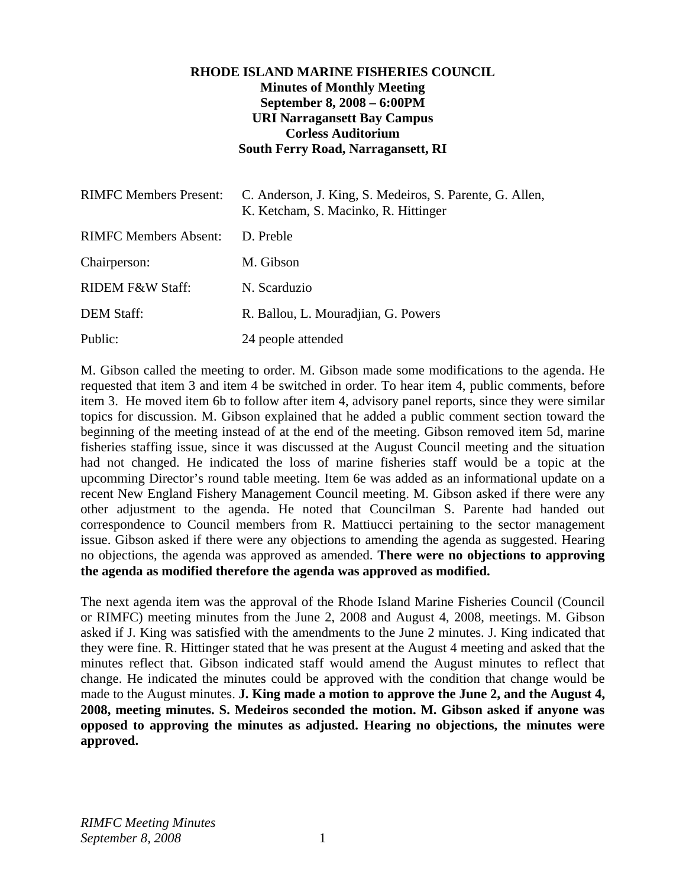# **RHODE ISLAND MARINE FISHERIES COUNCIL Minutes of Monthly Meeting September 8, 2008 – 6:00PM URI Narragansett Bay Campus Corless Auditorium South Ferry Road, Narragansett, RI**

| <b>RIMFC Members Present:</b> | C. Anderson, J. King, S. Medeiros, S. Parente, G. Allen,<br>K. Ketcham, S. Macinko, R. Hittinger |
|-------------------------------|--------------------------------------------------------------------------------------------------|
| <b>RIMFC Members Absent:</b>  | D. Preble                                                                                        |
| Chairperson:                  | M. Gibson                                                                                        |
| <b>RIDEM F&amp;W Staff:</b>   | N. Scarduzio                                                                                     |
| <b>DEM Staff:</b>             | R. Ballou, L. Mouradjian, G. Powers                                                              |
| Public:                       | 24 people attended                                                                               |

M. Gibson called the meeting to order. M. Gibson made some modifications to the agenda. He requested that item 3 and item 4 be switched in order. To hear item 4, public comments, before item 3. He moved item 6b to follow after item 4, advisory panel reports, since they were similar topics for discussion. M. Gibson explained that he added a public comment section toward the beginning of the meeting instead of at the end of the meeting. Gibson removed item 5d, marine fisheries staffing issue, since it was discussed at the August Council meeting and the situation had not changed. He indicated the loss of marine fisheries staff would be a topic at the upcomming Director's round table meeting. Item 6e was added as an informational update on a recent New England Fishery Management Council meeting. M. Gibson asked if there were any other adjustment to the agenda. He noted that Councilman S. Parente had handed out correspondence to Council members from R. Mattiucci pertaining to the sector management issue. Gibson asked if there were any objections to amending the agenda as suggested. Hearing no objections, the agenda was approved as amended. **There were no objections to approving the agenda as modified therefore the agenda was approved as modified.**

The next agenda item was the approval of the Rhode Island Marine Fisheries Council (Council or RIMFC) meeting minutes from the June 2, 2008 and August 4, 2008, meetings. M. Gibson asked if J. King was satisfied with the amendments to the June 2 minutes. J. King indicated that they were fine. R. Hittinger stated that he was present at the August 4 meeting and asked that the minutes reflect that. Gibson indicated staff would amend the August minutes to reflect that change. He indicated the minutes could be approved with the condition that change would be made to the August minutes. **J. King made a motion to approve the June 2, and the August 4, 2008, meeting minutes. S. Medeiros seconded the motion. M. Gibson asked if anyone was opposed to approving the minutes as adjusted. Hearing no objections, the minutes were approved.**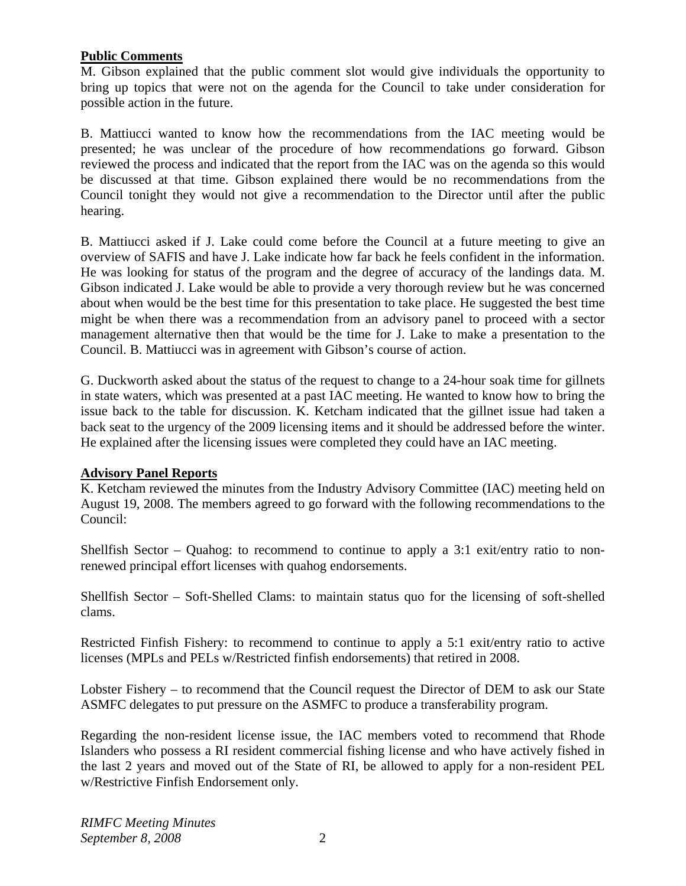## **Public Comments**

M. Gibson explained that the public comment slot would give individuals the opportunity to bring up topics that were not on the agenda for the Council to take under consideration for possible action in the future.

B. Mattiucci wanted to know how the recommendations from the IAC meeting would be presented; he was unclear of the procedure of how recommendations go forward. Gibson reviewed the process and indicated that the report from the IAC was on the agenda so this would be discussed at that time. Gibson explained there would be no recommendations from the Council tonight they would not give a recommendation to the Director until after the public hearing.

B. Mattiucci asked if J. Lake could come before the Council at a future meeting to give an overview of SAFIS and have J. Lake indicate how far back he feels confident in the information. He was looking for status of the program and the degree of accuracy of the landings data. M. Gibson indicated J. Lake would be able to provide a very thorough review but he was concerned about when would be the best time for this presentation to take place. He suggested the best time might be when there was a recommendation from an advisory panel to proceed with a sector management alternative then that would be the time for J. Lake to make a presentation to the Council. B. Mattiucci was in agreement with Gibson's course of action.

G. Duckworth asked about the status of the request to change to a 24-hour soak time for gillnets in state waters, which was presented at a past IAC meeting. He wanted to know how to bring the issue back to the table for discussion. K. Ketcham indicated that the gillnet issue had taken a back seat to the urgency of the 2009 licensing items and it should be addressed before the winter. He explained after the licensing issues were completed they could have an IAC meeting.

#### **Advisory Panel Reports**

K. Ketcham reviewed the minutes from the Industry Advisory Committee (IAC) meeting held on August 19, 2008. The members agreed to go forward with the following recommendations to the Council:

Shellfish Sector – Quahog: to recommend to continue to apply a 3:1 exit/entry ratio to nonrenewed principal effort licenses with quahog endorsements.

Shellfish Sector – Soft-Shelled Clams: to maintain status quo for the licensing of soft-shelled clams.

Restricted Finfish Fishery: to recommend to continue to apply a 5:1 exit/entry ratio to active licenses (MPLs and PELs w/Restricted finfish endorsements) that retired in 2008.

Lobster Fishery – to recommend that the Council request the Director of DEM to ask our State ASMFC delegates to put pressure on the ASMFC to produce a transferability program.

Regarding the non-resident license issue, the IAC members voted to recommend that Rhode Islanders who possess a RI resident commercial fishing license and who have actively fished in the last 2 years and moved out of the State of RI, be allowed to apply for a non-resident PEL w/Restrictive Finfish Endorsement only.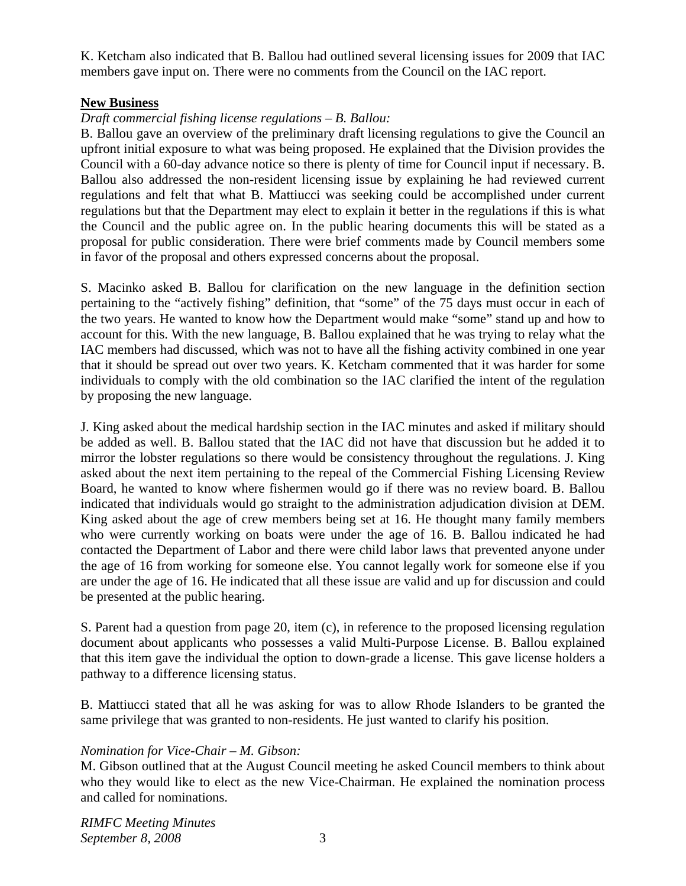K. Ketcham also indicated that B. Ballou had outlined several licensing issues for 2009 that IAC members gave input on. There were no comments from the Council on the IAC report.

## **New Business**

## *Draft commercial fishing license regulations – B. Ballou:*

B. Ballou gave an overview of the preliminary draft licensing regulations to give the Council an upfront initial exposure to what was being proposed. He explained that the Division provides the Council with a 60-day advance notice so there is plenty of time for Council input if necessary. B. Ballou also addressed the non-resident licensing issue by explaining he had reviewed current regulations and felt that what B. Mattiucci was seeking could be accomplished under current regulations but that the Department may elect to explain it better in the regulations if this is what the Council and the public agree on. In the public hearing documents this will be stated as a proposal for public consideration. There were brief comments made by Council members some in favor of the proposal and others expressed concerns about the proposal.

S. Macinko asked B. Ballou for clarification on the new language in the definition section pertaining to the "actively fishing" definition, that "some" of the 75 days must occur in each of the two years. He wanted to know how the Department would make "some" stand up and how to account for this. With the new language, B. Ballou explained that he was trying to relay what the IAC members had discussed, which was not to have all the fishing activity combined in one year that it should be spread out over two years. K. Ketcham commented that it was harder for some individuals to comply with the old combination so the IAC clarified the intent of the regulation by proposing the new language.

J. King asked about the medical hardship section in the IAC minutes and asked if military should be added as well. B. Ballou stated that the IAC did not have that discussion but he added it to mirror the lobster regulations so there would be consistency throughout the regulations. J. King asked about the next item pertaining to the repeal of the Commercial Fishing Licensing Review Board, he wanted to know where fishermen would go if there was no review board. B. Ballou indicated that individuals would go straight to the administration adjudication division at DEM. King asked about the age of crew members being set at 16. He thought many family members who were currently working on boats were under the age of 16. B. Ballou indicated he had contacted the Department of Labor and there were child labor laws that prevented anyone under the age of 16 from working for someone else. You cannot legally work for someone else if you are under the age of 16. He indicated that all these issue are valid and up for discussion and could be presented at the public hearing.

S. Parent had a question from page 20, item (c), in reference to the proposed licensing regulation document about applicants who possesses a valid Multi-Purpose License. B. Ballou explained that this item gave the individual the option to down-grade a license. This gave license holders a pathway to a difference licensing status.

B. Mattiucci stated that all he was asking for was to allow Rhode Islanders to be granted the same privilege that was granted to non-residents. He just wanted to clarify his position.

# *Nomination for Vice-Chair – M. Gibson:*

M. Gibson outlined that at the August Council meeting he asked Council members to think about who they would like to elect as the new Vice-Chairman. He explained the nomination process and called for nominations.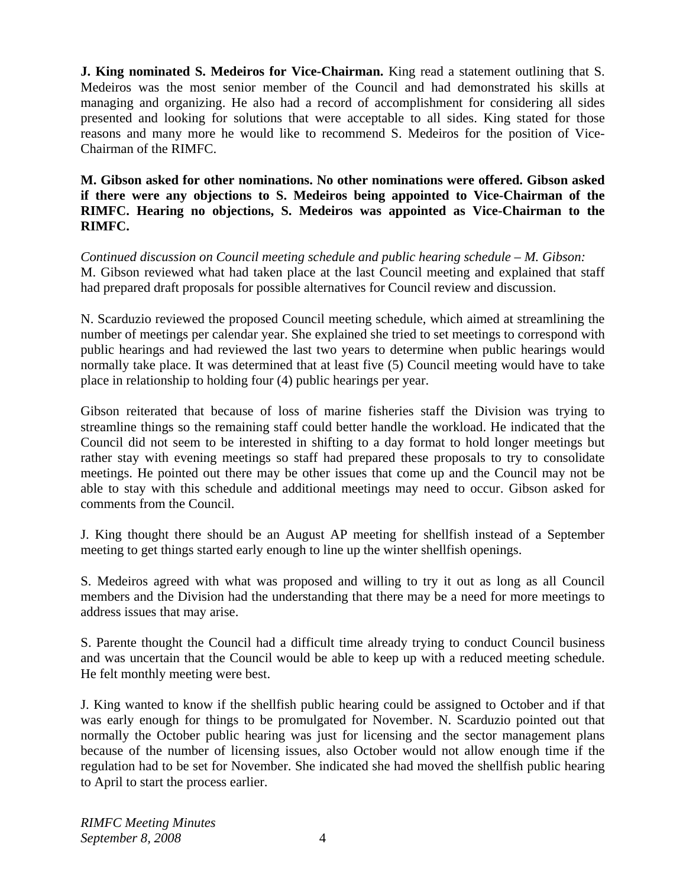**J. King nominated S. Medeiros for Vice-Chairman.** King read a statement outlining that S. Medeiros was the most senior member of the Council and had demonstrated his skills at managing and organizing. He also had a record of accomplishment for considering all sides presented and looking for solutions that were acceptable to all sides. King stated for those reasons and many more he would like to recommend S. Medeiros for the position of Vice-Chairman of the RIMFC.

**M. Gibson asked for other nominations. No other nominations were offered. Gibson asked if there were any objections to S. Medeiros being appointed to Vice-Chairman of the RIMFC. Hearing no objections, S. Medeiros was appointed as Vice-Chairman to the RIMFC.** 

*Continued discussion on Council meeting schedule and public hearing schedule – M. Gibson:* M. Gibson reviewed what had taken place at the last Council meeting and explained that staff had prepared draft proposals for possible alternatives for Council review and discussion.

N. Scarduzio reviewed the proposed Council meeting schedule, which aimed at streamlining the number of meetings per calendar year. She explained she tried to set meetings to correspond with public hearings and had reviewed the last two years to determine when public hearings would normally take place. It was determined that at least five (5) Council meeting would have to take place in relationship to holding four (4) public hearings per year.

Gibson reiterated that because of loss of marine fisheries staff the Division was trying to streamline things so the remaining staff could better handle the workload. He indicated that the Council did not seem to be interested in shifting to a day format to hold longer meetings but rather stay with evening meetings so staff had prepared these proposals to try to consolidate meetings. He pointed out there may be other issues that come up and the Council may not be able to stay with this schedule and additional meetings may need to occur. Gibson asked for comments from the Council.

J. King thought there should be an August AP meeting for shellfish instead of a September meeting to get things started early enough to line up the winter shellfish openings.

S. Medeiros agreed with what was proposed and willing to try it out as long as all Council members and the Division had the understanding that there may be a need for more meetings to address issues that may arise.

S. Parente thought the Council had a difficult time already trying to conduct Council business and was uncertain that the Council would be able to keep up with a reduced meeting schedule. He felt monthly meeting were best.

J. King wanted to know if the shellfish public hearing could be assigned to October and if that was early enough for things to be promulgated for November. N. Scarduzio pointed out that normally the October public hearing was just for licensing and the sector management plans because of the number of licensing issues, also October would not allow enough time if the regulation had to be set for November. She indicated she had moved the shellfish public hearing to April to start the process earlier.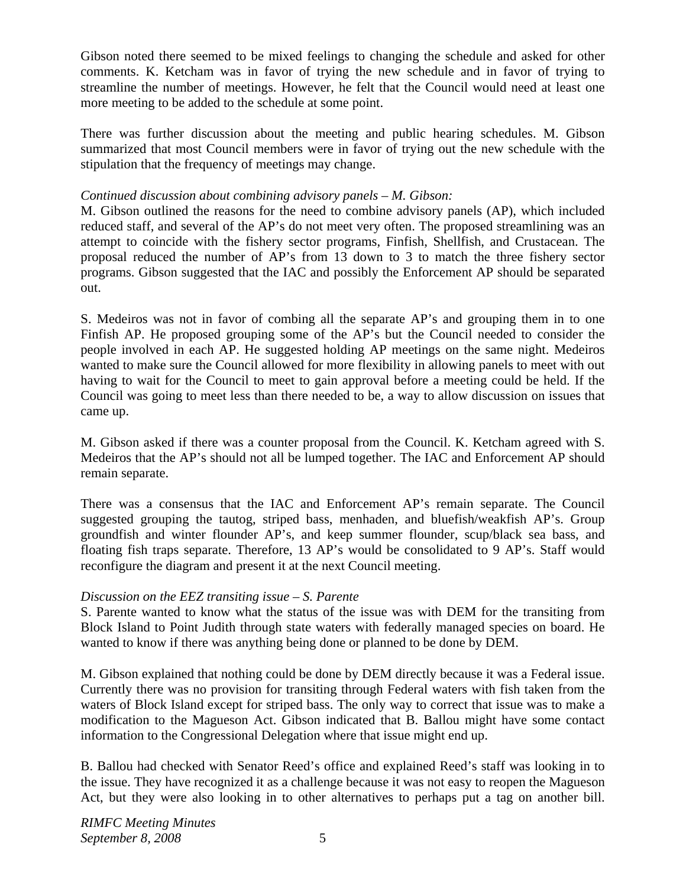Gibson noted there seemed to be mixed feelings to changing the schedule and asked for other comments. K. Ketcham was in favor of trying the new schedule and in favor of trying to streamline the number of meetings. However, he felt that the Council would need at least one more meeting to be added to the schedule at some point.

There was further discussion about the meeting and public hearing schedules. M. Gibson summarized that most Council members were in favor of trying out the new schedule with the stipulation that the frequency of meetings may change.

## *Continued discussion about combining advisory panels – M. Gibson:*

M. Gibson outlined the reasons for the need to combine advisory panels (AP), which included reduced staff, and several of the AP's do not meet very often. The proposed streamlining was an attempt to coincide with the fishery sector programs, Finfish, Shellfish, and Crustacean. The proposal reduced the number of AP's from 13 down to 3 to match the three fishery sector programs. Gibson suggested that the IAC and possibly the Enforcement AP should be separated out.

S. Medeiros was not in favor of combing all the separate AP's and grouping them in to one Finfish AP. He proposed grouping some of the AP's but the Council needed to consider the people involved in each AP. He suggested holding AP meetings on the same night. Medeiros wanted to make sure the Council allowed for more flexibility in allowing panels to meet with out having to wait for the Council to meet to gain approval before a meeting could be held. If the Council was going to meet less than there needed to be, a way to allow discussion on issues that came up.

M. Gibson asked if there was a counter proposal from the Council. K. Ketcham agreed with S. Medeiros that the AP's should not all be lumped together. The IAC and Enforcement AP should remain separate.

There was a consensus that the IAC and Enforcement AP's remain separate. The Council suggested grouping the tautog, striped bass, menhaden, and bluefish/weakfish AP's. Group groundfish and winter flounder AP's, and keep summer flounder, scup/black sea bass, and floating fish traps separate. Therefore, 13 AP's would be consolidated to 9 AP's. Staff would reconfigure the diagram and present it at the next Council meeting.

# *Discussion on the EEZ transiting issue – S. Parente*

S. Parente wanted to know what the status of the issue was with DEM for the transiting from Block Island to Point Judith through state waters with federally managed species on board. He wanted to know if there was anything being done or planned to be done by DEM.

M. Gibson explained that nothing could be done by DEM directly because it was a Federal issue. Currently there was no provision for transiting through Federal waters with fish taken from the waters of Block Island except for striped bass. The only way to correct that issue was to make a modification to the Magueson Act. Gibson indicated that B. Ballou might have some contact information to the Congressional Delegation where that issue might end up.

B. Ballou had checked with Senator Reed's office and explained Reed's staff was looking in to the issue. They have recognized it as a challenge because it was not easy to reopen the Magueson Act, but they were also looking in to other alternatives to perhaps put a tag on another bill.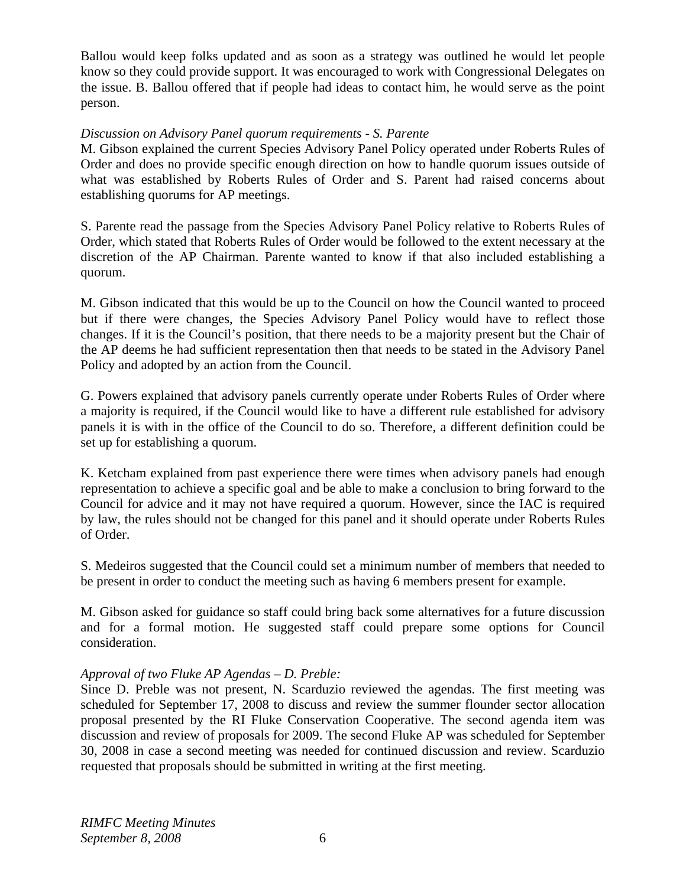Ballou would keep folks updated and as soon as a strategy was outlined he would let people know so they could provide support. It was encouraged to work with Congressional Delegates on the issue. B. Ballou offered that if people had ideas to contact him, he would serve as the point person.

# *Discussion on Advisory Panel quorum requirements - S. Parente*

M. Gibson explained the current Species Advisory Panel Policy operated under Roberts Rules of Order and does no provide specific enough direction on how to handle quorum issues outside of what was established by Roberts Rules of Order and S. Parent had raised concerns about establishing quorums for AP meetings.

S. Parente read the passage from the Species Advisory Panel Policy relative to Roberts Rules of Order, which stated that Roberts Rules of Order would be followed to the extent necessary at the discretion of the AP Chairman. Parente wanted to know if that also included establishing a quorum.

M. Gibson indicated that this would be up to the Council on how the Council wanted to proceed but if there were changes, the Species Advisory Panel Policy would have to reflect those changes. If it is the Council's position, that there needs to be a majority present but the Chair of the AP deems he had sufficient representation then that needs to be stated in the Advisory Panel Policy and adopted by an action from the Council.

G. Powers explained that advisory panels currently operate under Roberts Rules of Order where a majority is required, if the Council would like to have a different rule established for advisory panels it is with in the office of the Council to do so. Therefore, a different definition could be set up for establishing a quorum.

K. Ketcham explained from past experience there were times when advisory panels had enough representation to achieve a specific goal and be able to make a conclusion to bring forward to the Council for advice and it may not have required a quorum. However, since the IAC is required by law, the rules should not be changed for this panel and it should operate under Roberts Rules of Order.

S. Medeiros suggested that the Council could set a minimum number of members that needed to be present in order to conduct the meeting such as having 6 members present for example.

M. Gibson asked for guidance so staff could bring back some alternatives for a future discussion and for a formal motion. He suggested staff could prepare some options for Council consideration.

# *Approval of two Fluke AP Agendas – D. Preble:*

Since D. Preble was not present, N. Scarduzio reviewed the agendas. The first meeting was scheduled for September 17, 2008 to discuss and review the summer flounder sector allocation proposal presented by the RI Fluke Conservation Cooperative. The second agenda item was discussion and review of proposals for 2009. The second Fluke AP was scheduled for September 30, 2008 in case a second meeting was needed for continued discussion and review. Scarduzio requested that proposals should be submitted in writing at the first meeting.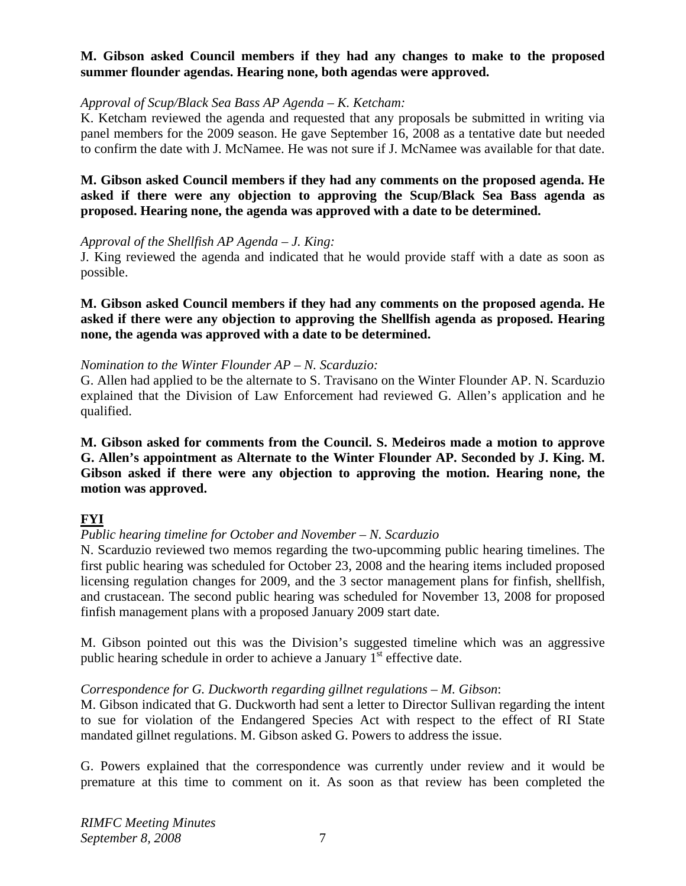## **M. Gibson asked Council members if they had any changes to make to the proposed summer flounder agendas. Hearing none, both agendas were approved.**

#### *Approval of Scup/Black Sea Bass AP Agenda – K. Ketcham:*

K. Ketcham reviewed the agenda and requested that any proposals be submitted in writing via panel members for the 2009 season. He gave September 16, 2008 as a tentative date but needed to confirm the date with J. McNamee. He was not sure if J. McNamee was available for that date.

**M. Gibson asked Council members if they had any comments on the proposed agenda. He asked if there were any objection to approving the Scup/Black Sea Bass agenda as proposed. Hearing none, the agenda was approved with a date to be determined.**

#### *Approval of the Shellfish AP Agenda – J. King:*

J. King reviewed the agenda and indicated that he would provide staff with a date as soon as possible.

**M. Gibson asked Council members if they had any comments on the proposed agenda. He asked if there were any objection to approving the Shellfish agenda as proposed. Hearing none, the agenda was approved with a date to be determined.**

#### *Nomination to the Winter Flounder AP – N. Scarduzio:*

G. Allen had applied to be the alternate to S. Travisano on the Winter Flounder AP. N. Scarduzio explained that the Division of Law Enforcement had reviewed G. Allen's application and he qualified.

**M. Gibson asked for comments from the Council. S. Medeiros made a motion to approve G. Allen's appointment as Alternate to the Winter Flounder AP. Seconded by J. King. M. Gibson asked if there were any objection to approving the motion. Hearing none, the motion was approved.** 

# **FYI**

#### *Public hearing timeline for October and November – N. Scarduzio*

N. Scarduzio reviewed two memos regarding the two-upcomming public hearing timelines. The first public hearing was scheduled for October 23, 2008 and the hearing items included proposed licensing regulation changes for 2009, and the 3 sector management plans for finfish, shellfish, and crustacean. The second public hearing was scheduled for November 13, 2008 for proposed finfish management plans with a proposed January 2009 start date.

M. Gibson pointed out this was the Division's suggested timeline which was an aggressive public hearing schedule in order to achieve a January  $1<sup>st</sup>$  effective date.

#### *Correspondence for G. Duckworth regarding gillnet regulations – M. Gibson*:

M. Gibson indicated that G. Duckworth had sent a letter to Director Sullivan regarding the intent to sue for violation of the Endangered Species Act with respect to the effect of RI State mandated gillnet regulations. M. Gibson asked G. Powers to address the issue.

G. Powers explained that the correspondence was currently under review and it would be premature at this time to comment on it. As soon as that review has been completed the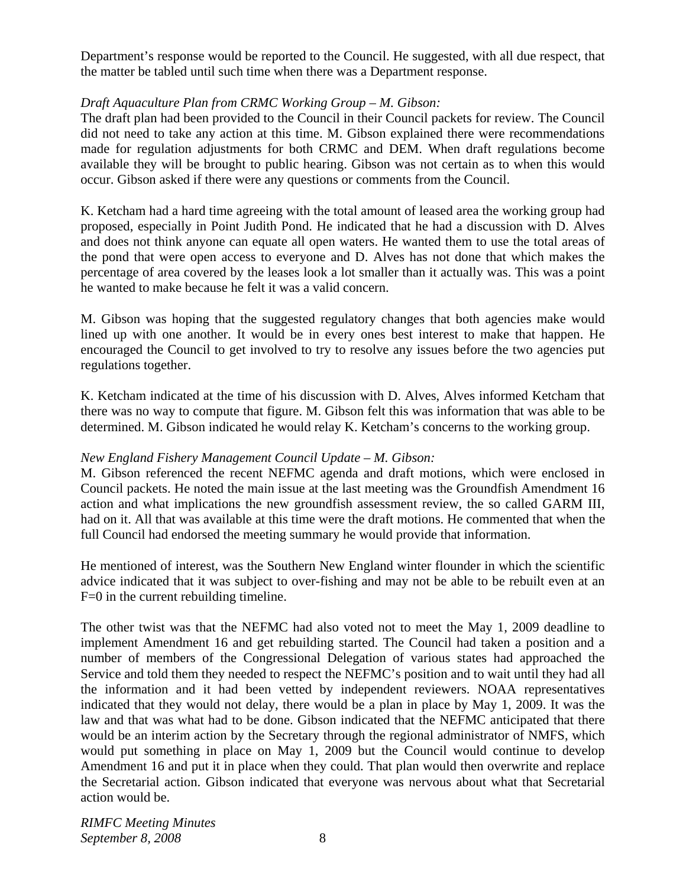Department's response would be reported to the Council. He suggested, with all due respect, that the matter be tabled until such time when there was a Department response.

## *Draft Aquaculture Plan from CRMC Working Group – M. Gibson:*

The draft plan had been provided to the Council in their Council packets for review. The Council did not need to take any action at this time. M. Gibson explained there were recommendations made for regulation adjustments for both CRMC and DEM. When draft regulations become available they will be brought to public hearing. Gibson was not certain as to when this would occur. Gibson asked if there were any questions or comments from the Council.

K. Ketcham had a hard time agreeing with the total amount of leased area the working group had proposed, especially in Point Judith Pond. He indicated that he had a discussion with D. Alves and does not think anyone can equate all open waters. He wanted them to use the total areas of the pond that were open access to everyone and D. Alves has not done that which makes the percentage of area covered by the leases look a lot smaller than it actually was. This was a point he wanted to make because he felt it was a valid concern.

M. Gibson was hoping that the suggested regulatory changes that both agencies make would lined up with one another. It would be in every ones best interest to make that happen. He encouraged the Council to get involved to try to resolve any issues before the two agencies put regulations together.

K. Ketcham indicated at the time of his discussion with D. Alves, Alves informed Ketcham that there was no way to compute that figure. M. Gibson felt this was information that was able to be determined. M. Gibson indicated he would relay K. Ketcham's concerns to the working group.

#### *New England Fishery Management Council Update – M. Gibson:*

M. Gibson referenced the recent NEFMC agenda and draft motions, which were enclosed in Council packets. He noted the main issue at the last meeting was the Groundfish Amendment 16 action and what implications the new groundfish assessment review, the so called GARM III, had on it. All that was available at this time were the draft motions. He commented that when the full Council had endorsed the meeting summary he would provide that information.

He mentioned of interest, was the Southern New England winter flounder in which the scientific advice indicated that it was subject to over-fishing and may not be able to be rebuilt even at an F=0 in the current rebuilding timeline.

The other twist was that the NEFMC had also voted not to meet the May 1, 2009 deadline to implement Amendment 16 and get rebuilding started. The Council had taken a position and a number of members of the Congressional Delegation of various states had approached the Service and told them they needed to respect the NEFMC's position and to wait until they had all the information and it had been vetted by independent reviewers. NOAA representatives indicated that they would not delay, there would be a plan in place by May 1, 2009. It was the law and that was what had to be done. Gibson indicated that the NEFMC anticipated that there would be an interim action by the Secretary through the regional administrator of NMFS, which would put something in place on May 1, 2009 but the Council would continue to develop Amendment 16 and put it in place when they could. That plan would then overwrite and replace the Secretarial action. Gibson indicated that everyone was nervous about what that Secretarial action would be.